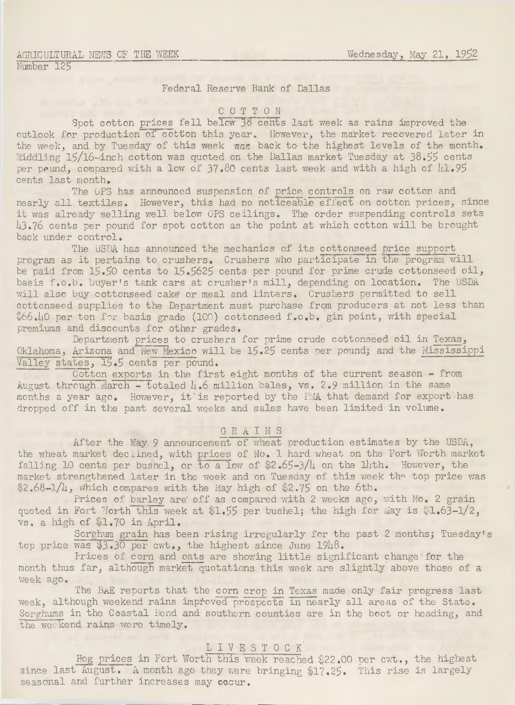#### AGRICULTURAL NEWS OF THE WEEK Number 125

# Federal Reserve Bank of Dallas

#### C O T T O N

Spot cotton prices fell below  $38~$ cents last week as rains improved the outlook for production of cotton this year. However, the market recovered later in the week, and by Tuesday of this week was back to the highest levels of the month. Middling l5/l6~inch cotton was quoted on the Dallas market Tuesday at 38.95 cents per pound, compared with a low of  $37.80$  cents last week and with a high of  $l_1 l_2$ . cents last month.

The OPS has announced suspension of price controls on raw cotton and nearly all textiles. However, this had no noticeable effect on cotton prices, since it was already selling well below OPS ceilings. The order suspending controls sets h3.?6 cents per pound for spot cotton as the point at which cotton w ill be brought back under control.

The USDA has announced the mechanics of its cottonseed price support program as it pertains to crushers. Crushers who participate in the program will be paid from 15.50 cents to 15.5625 cents per pound for prime crude cottonseed oil, basis f.o.b. buyer's tank cars at crusher's mill, depending on location. The USDA will also buy cottonseed cake or meal and linters. Crushers permitted to sell cottonseed supplies to the Department must purchase from producers at not less than \$66.ho per ton for basis grade (100) cottonseed f.o.b. gin point, with special premiums and discounts for other grades,

Department prices to crushers for prime crude cottonseed oil in Texas, Oklahoma, Arizona and New Mexico will be 15.25 cents per pound; and the Mississippi Valley states, 15.5 cents per pound.

Cotton exports in the first eight months of the current season - from August through March - totaled  $h_0$  million bales, vs. 2.9 million in the same months a year ago. However, it is reported by the FMA that demand for export has dropped off in the past several weeks and sales have been limited in volume.

## GRAINS

After the May 9 announcement of wheat production estimates by the USDA, the wheat market declined, with prices of No. 1 hard wheat on the Fort Worth market falling 10 cents per bushel, or to a low of  $2.65-3/4$  on the lath. However, the market strengthened later in the week and on Tuesday of this week the top price was  $$2.68-1/4$ , which compares with the May high of \$2.75 on the 6th.

Prices of barley are' off as compared with 2 weeks ago, with No. 2 grain quoted in Fort Worth this week at \$1.55 per bushel; the high for May is  $$1.63-1/2$ , vs. a high of \$1.70 in April.

Sorghum grain has been rising irregularly for the past 2 months; Tuesday's top price was  $$3.30$  per cwt., the highest since June 1948.

Prices of corn and oats are showing little significant change for the month thus far, although market quotations this week are slightly above those of a week ago.

The BAE reports that the corn crop in Texas made only fair progress last week, although weekend rains improved prospects in nearly all areas of the State. Sorghums in the Coastal Bend and southern counties are in the boot or heading, and the weekend rains were timely.

## LIVESTOCK<sup>.</sup>

Hog prices in Fort Worth this week reached \$22.00 per cwt., the highest since last August. A month ago they were bringing \$17.25. This rise is largely seasonal and further increases may cocur.